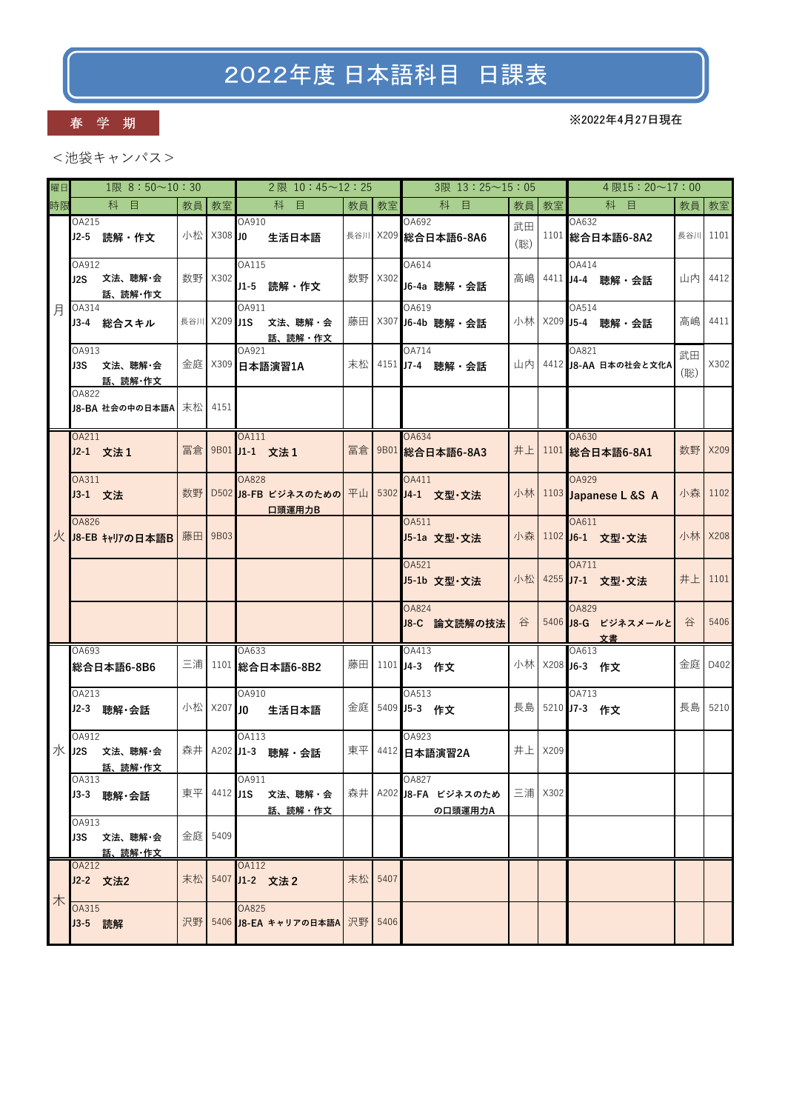# 2022年度 日本語科目 日課表

### 春 学 期

※2022年4月27日現在

<池袋キャンパス>

| 曜日 | $1\Re$ 8:50~10:30                    |    |              | 2限 10:45~12:25                                   |     |         | 3限 13:25~15:05                         |           |           | $4$ 限15:20~17:00                  |           |         |
|----|--------------------------------------|----|--------------|--------------------------------------------------|-----|---------|----------------------------------------|-----------|-----------|-----------------------------------|-----------|---------|
| 時限 | 科<br>目                               | 教員 | 教室           | 科 目                                              |     | 教員 教室   | 科<br>目                                 |           | 教員 教室     | 科 目                               | 教員        | 教室      |
|    | OA215<br>J2-5 読解 · 作文                | 小松 | X308 JO      | OA910<br>生活日本語                                   |     |         | OA692<br>長谷川 ×209 総合日本語6-8A6           | 武田<br>(聡) |           | OA632<br>1101 総合日本語6-8A2          | 長谷川       | 1101    |
|    | OA912<br>文法、聴解・会<br>J2S<br>話、読解・作文   |    | 数野   X302    | OA115<br>J1-5 読解·作文                              |     | 数野 X302 | OA614<br>J6-4a 聴解・会話                   | 高嶋        |           | OA414<br>4411 J4-4 聴解·会話          | 山内        | 4412    |
| 月  | OA314<br>J3-4 総合スキル                  |    | 長谷川 X209 J1S | OA911<br>文法、聴解・会<br>話、読解・作文                      |     |         | OA619<br>藤田   X307 J6-4b 聴解・会話         |           |           | OA514<br>小林 ×209 J5-4 聴解·会話       | 高嶋        | 4411    |
|    | OA913<br>J3S 文法、聴解·会<br>話、読解・作文      |    |              | OA921<br>金庭 X309 日本語演習1A                         | 末松  |         | OA714<br>4151 J7-4 聴解 · 会話             |           |           | OA821<br>山内 4412 J8-AA 日本の社会と文化A  | 武田<br>(聡) | X302    |
|    | OA822<br>J8-BA 社会の中の日本語A             | 末松 | 4151         |                                                  |     |         |                                        |           |           |                                   |           |         |
|    | OA211<br>J2-1 文法1                    | 冨倉 |              | <b>OA111</b><br>9B01 J1-1 文法 1                   | 冨倉  |         | OA634<br>9B01 総合日本語6-8A3               | 井上        |           | OA630<br>1101 総合日本語6-8A1          | 数野        | X209    |
|    | OA311<br>J3-1 文法                     | 数野 |              | <b>OA828</b><br>D502 J8-FB ビジネスのための 平山<br>口頭運用力B |     |         | OA411<br>5302 J4-1 文型·文法               |           |           | OA929<br>小林 1103 Japanese L &S A  | 小森        | 1102    |
|    | OA826<br>火 J8-EB キャリアの日本語B           | 藤田 | 9B03         |                                                  |     |         | OA511<br>J5-1a 文型·文法                   |           |           | OA611<br>小森 1102 J6-1 文型·文法       |           | 小林 X208 |
|    |                                      |    |              |                                                  |     |         | OA521<br>J5-1b 文型·文法                   |           |           | OA711<br>小松 4255 J7-1 文型·文法       | 井上        | 1101    |
|    |                                      |    |              |                                                  |     |         | <b>OA824</b><br>J8-C 論文読解の技法           | 谷         |           | OA829<br>5406 J8-G ビジネスメールと<br>文書 | 谷         | 5406    |
|    | OA693<br>総合日本語6-8B6                  |    |              | OA633<br>三浦 1101 総合日本語6-8B2                      |     |         | OA413<br>藤田 1101 J4-3 作文               |           |           | OA613<br>小林 X208 J6-3 作文          | 金庭        | D402    |
|    | OA213<br>J2-3 聴解·会話                  |    | 小松 ×207 JO   | OA910<br>生活日本語                                   | 金庭一 |         | OA513<br>5409 J5-3 作文                  |           |           | OA713<br>長島 5210 J7-3 作文          | 長島        | 5210    |
|    | OA912<br>水 J2S<br>文法、聴解・会<br>話、読解・作文 | 森井 |              | OA113<br>A202 J1-3 聴解·会話                         | 東平  |         | OA923<br>4412 日本語演習2A                  | 井上        | X209      |                                   |           |         |
|    | OA313<br>J3-3 聴解·会話                  | 東平 |              | OA911<br>4412 J1S 文法、聴解·会<br>話、読解・作文             | 森井  |         | OA827<br>A202 J8-FA ビジネスのため<br>の口頭運用力A |           | 三浦   X302 |                                   |           |         |
|    | OA913<br>J3S 文法、聴解·会<br>話、読解・作文      |    | 金庭 5409      |                                                  |     |         |                                        |           |           |                                   |           |         |
| 木  | OA212<br>J2-2 文法2                    | 末松 |              | OA112<br>5407 J1-2 文法2                           | 末松  | 5407    |                                        |           |           |                                   |           |         |
|    | OA315<br>J3-5 読解                     | 沢野 |              | OA825<br>5406 J8-EA キャリアの日本語A 沢野                 |     | 5406    |                                        |           |           |                                   |           |         |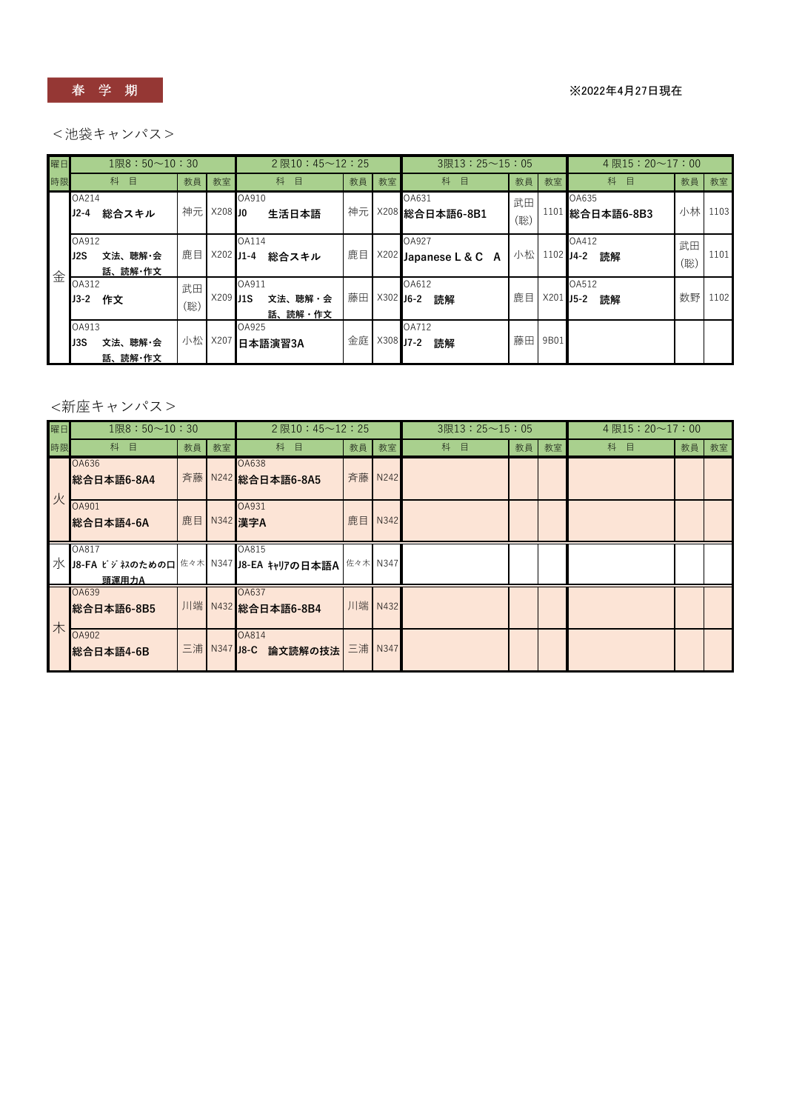春 学 期

※2022年4月27日現在

### <池袋キャンパス>

| 曜日 | $1$ 限8:50~10:30                    |           |             | $2 \times 10 : 45 \sim 12 : 25$ |    |             | $3R13:25 \sim 15:05$      |           |             | 4 限15:20 $\sim$ 17:00       |           |      |
|----|------------------------------------|-----------|-------------|---------------------------------|----|-------------|---------------------------|-----------|-------------|-----------------------------|-----------|------|
| 時限 | 科<br>目                             | 教員        | 教室          | 科<br>目                          | 教員 | 教室          | 科<br>目                    | 教員        | 教室          | 科<br>目                      | 教員        | 教室   |
|    | OA214<br>$J2-4$<br>総合スキル           | 神元        | $X208$ 10   | OA910<br>生活日本語                  | 神元 | X208        | OA631<br>総合日本語6-8B1       | 武田<br>(聡) | 1101        | OA635<br>総合日本語6-8B3         | 小林        | 1103 |
| 金  | OA912<br>文法、聴解・会<br>J2S<br>話、読解・作文 | 鹿目        | $X202$ J1-4 | OA114<br>総合スキル                  | 鹿目 | X202        | OA927<br>Japanese L & C A | 小松        | $1102$ J4-2 | OA412<br>読解                 | 武田<br>(聡) | 1101 |
|    | OA312<br>$J3-2$<br>作文              | 武田<br>(聡) | $X209$ J1S  | OA911<br>文法、聴解・会<br>話、読解・作文     | 藤田 | $X302$ J6-2 | OA612<br>読解               | 鹿目        | X201        | OA512<br><b>IJ5-2</b><br>読解 | 数野        | 1102 |
|    | OA913<br>文法、聴解・会<br>J3S<br>話、読解・作文 | 小松        | X207        | OA925<br>日本語演習3A                | 金庭 | X308        | OA712<br>$JJ-2$<br>読解     | 藤田        | 9B01        |                             |           |      |

### <新座キャンパス>

| 曜日 | $1$ 限 $8:50$ $\sim$ $10:30$                                 |    |           | $2 \times 10 : 45 \sim 12 : 25$ |    |          | $3R13:25 \sim 15:05$ |    |    | 4 限15:20 $\sim$ 17:00 |    |    |
|----|-------------------------------------------------------------|----|-----------|---------------------------------|----|----------|----------------------|----|----|-----------------------|----|----|
| 時限 | 科<br>目                                                      | 教員 | 教室        | 科<br>目                          | 教員 | 教室       | 科<br>目               | 教員 | 教室 | 科<br>目                | 教員 | 教室 |
| 火  | OA636<br>総合日本語6-8A4                                         |    |           | OA638<br>斉藤 N242 総合日本語6-8A5     |    | 斉藤 N242  |                      |    |    |                       |    |    |
|    | OA901<br>総合日本語4-6A                                          | 鹿目 |           | OA931<br>N342 漢字A               | 鹿目 | N342     |                      |    |    |                       |    |    |
|    | OA817<br>水 J8-FA ビジネのためのロ 佐々木 N347 J8-EA キャリアの日本語A<br>頭運用力A |    |           | OA815                           |    | 佐々木 N347 |                      |    |    |                       |    |    |
| 木  | OA639<br>総合日本語6-8B5                                         |    |           | OA637<br>川端 N432 総合日本語6-8B4     |    | 川端 N432  |                      |    |    |                       |    |    |
|    | <b>OA902</b><br>総合日本語4-6B                                   | 三浦 | N347 J8-C | OA814<br>論文読解の技法                |    | 三浦 N347  |                      |    |    |                       |    |    |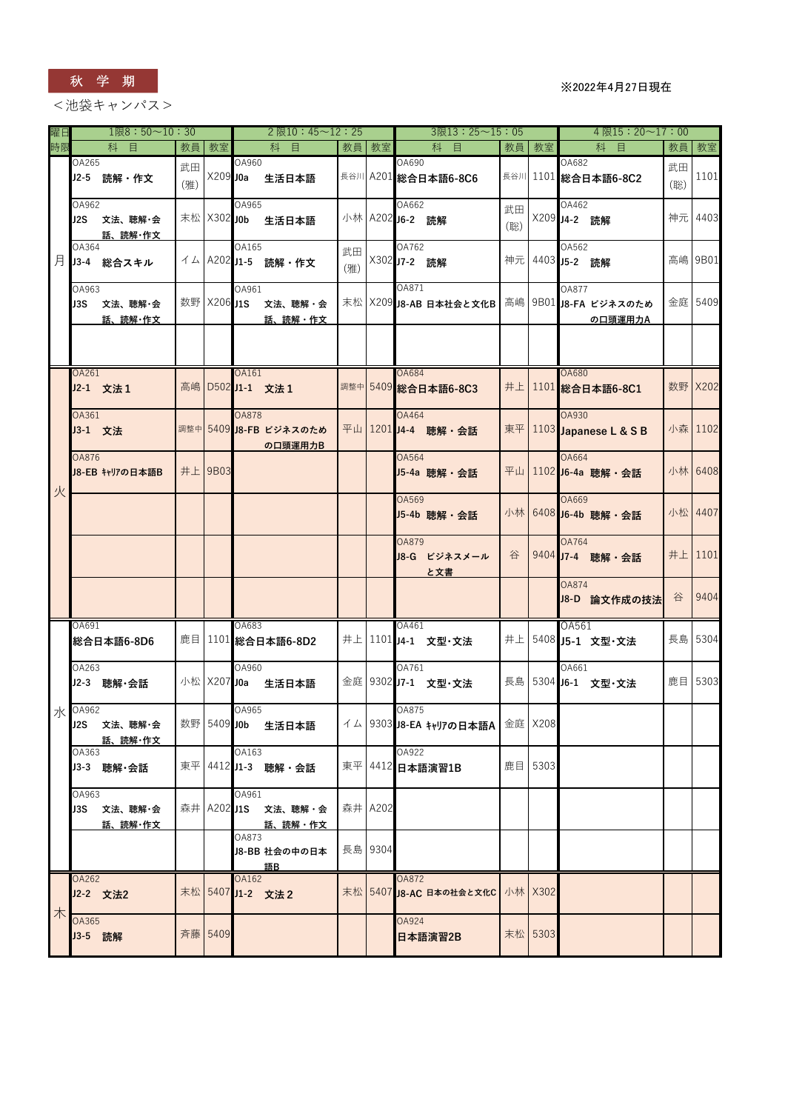

<池袋キャンパス>

| 曜日 |                                 | $1$ 限 $8:50$ ~10:30 |           |             |              |                    | $2$ 限 $10:45 \sim 12:25$               |           |         |                          |                     | $3$ 限 $13:25 \sim 15:05$              |           |                 |                       | $4$ 限15:20~17:00                                        |           |         |
|----|---------------------------------|---------------------|-----------|-------------|--------------|--------------------|----------------------------------------|-----------|---------|--------------------------|---------------------|---------------------------------------|-----------|-----------------|-----------------------|---------------------------------------------------------|-----------|---------|
| 時限 | 科                               | 目                   | 教員        | 教室          |              | 科                  | 目                                      | 教員        | 教室      |                          | 科<br>目              |                                       | 教員        | 教室              |                       | 科 目                                                     | 教員        | 教室      |
|    | OA265<br>J2-5 読解 · 作文           |                     | 武田<br>(雅) | X209 J0a    | OA960        | 生活日本語              |                                        |           |         | OA690                    | 長谷川 A201 総合日本語6-8C6 |                                       |           |                 | OA682                 | 長谷川 1101 総合日本語6-8C2                                     | 武田<br>(聡) | 1101    |
|    | OA962<br>J2S 文法、聴解·会            | 話、読解・作文             |           | 末松 X302 J0b | OA965        | 生活日本語              |                                        |           |         | OA662<br>小林 A202 J6-2 読解 |                     |                                       | 武田<br>(聡) |                 | OA462<br>X209 J4-2 読解 |                                                         |           | 神元 4403 |
| 月  | OA364<br>J3-4 総合スキル             |                     |           |             | OA165        | イム A202 J1-5 読解・作文 |                                        | 武田<br>(雅) |         | OA762<br>X302 J7-2 読解    |                     |                                       |           | 神元 4403 J5-2 読解 | OA562                 |                                                         |           | 高嶋 9B01 |
|    | OA963<br>J3S                    | 文法、聴解・会<br>話、読解・作文  |           | 数野 X206 J1S | OA961        |                    | 文法、聴解・会<br>話、読解・作文                     |           |         | OA871                    |                     |                                       |           |                 | OA877                 | 末松 X209 J8-AB 日本社会と文化B 高嶋 9B01 J8-FA ビジネスのため<br>の口頭運用力A |           | 金庭 5409 |
|    |                                 |                     |           |             |              |                    |                                        |           |         |                          |                     |                                       |           |                 |                       |                                                         |           |         |
|    | OA261<br>J2-1 文法1               |                     |           |             | OA161        | 高嶋 D502 J1-1 文法 1  |                                        |           |         | <b>OA684</b>             | 調整中 5409 総合日本語6-8C3 |                                       |           |                 | <b>OA680</b>          | 井上 1101 総合日本語6-8C1                                      |           | 数野 X202 |
|    | OA361<br>J3-1 文法                |                     |           |             | <b>OA878</b> |                    | 調整中 5409 J8-FB ビジネスのため<br>の口頭運用力B      |           |         | OA464                    | 平山 1201 J4-4 聴解·会話  |                                       | 東平        |                 | OA930                 | 1103 Japanese L & S B                                   |           | 小森 1102 |
| 火  | <b>OA876</b><br>J8-EB キャリアの日本語B |                     |           | 井上 9B03     |              |                    |                                        |           |         | OA564                    | J5-4a 聴解 · 会話       |                                       |           |                 | <b>OA664</b>          | 平山 1102 J6-4a 聴解·会話                                     |           | 小林 6408 |
|    |                                 |                     |           |             |              |                    |                                        |           |         | OA569                    | J5-4b 聴解・会話         |                                       |           |                 | OA669                 | 小林 6408 J6-4b 聴解 · 会話                                   | 小松 4407   |         |
|    |                                 |                     |           |             |              |                    |                                        |           |         | <b>OA879</b>             | J8-G ビジネスメール<br>と文書 |                                       | 谷         |                 | OA764                 | 9404 J7-4 聴解·会話                                         | 井上        | 1101    |
|    |                                 |                     |           |             |              |                    |                                        |           |         |                          |                     |                                       |           |                 | <b>OA874</b>          | J8-D 論文作成の技法                                            | 谷         | 9404    |
|    | OA691<br>総合日本語6-8D6             |                     |           |             | OA683        | 鹿目 1101 総合日本語6-8D2 |                                        |           |         | OA461                    | 井上 1101 J4-1 文型·文法  |                                       |           |                 | OA561                 | 井上 5408 J5-1 文型·文法                                      |           | 長島 5304 |
|    | OA263<br>J2-3 聴解·会話             |                     |           | 小松 X207 J0a | OA960        | 生活日本語              |                                        |           |         | OA761                    | 金庭 9302 J7-1 文型·文法  |                                       |           |                 | OA661                 | 長島 5304 J6-1 文型·文法                                      |           | 鹿目 5303 |
|    | 水 0A962<br>J2S 文法、聴解·会          | 話、読解・作文             |           |             | OA965        | 数野 5409 JOb 生活日本語  |                                        |           |         | OA875                    |                     | イム   9303 J8-EA キャリアの日本語A   金庭   X208 |           |                 |                       |                                                         |           |         |
|    | OA363<br>J3-3 聴解·会話             |                     |           |             | OA163        | 東平 4412 J1-3 聴解·会話 |                                        |           |         | OA922                    | 東平 4412 日本語演習1B     |                                       |           | 鹿目 5303         |                       |                                                         |           |         |
|    | OA963<br>J3S 文法、聴解・会            | 話、読解・作文             |           |             | OA961        |                    | 森井 A202 J1S 文法、聴解・会<br><u> 話、読解・作文</u> |           | 森井 A202 |                          |                     |                                       |           |                 |                       |                                                         |           |         |
|    |                                 |                     |           |             | OA873        | 語B                 | J8-BB 社会の中の日本                          |           | 長島 9304 |                          |                     |                                       |           |                 |                       |                                                         |           |         |
| 木  | OA262<br>J2-2 文法2               |                     |           |             | OA162        | 末松 5407 J1-2 文法2   |                                        |           |         | <b>OA872</b>             |                     | 末松 5407 J8-AC 日本の社会と文化C 小林 X302       |           |                 |                       |                                                         |           |         |
|    | OA365<br>J3-5 読解                |                     |           | 斉藤 5409     |              |                    |                                        |           |         | OA924                    | 日本語演習2B             |                                       |           | 末松 5303         |                       |                                                         |           |         |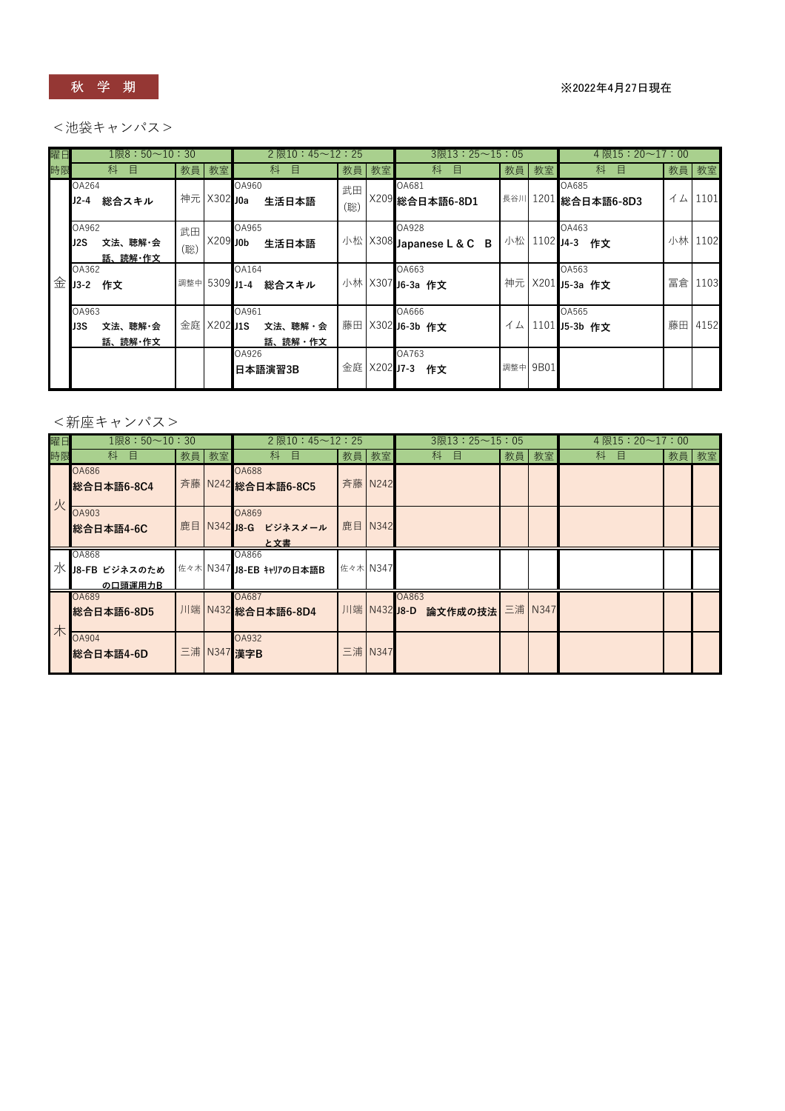

#### <池袋キャンパス>

| 曜日 | $1$ 限 $8:50$ ~10:30                 |               |             | $2$ 限 $10:45 \sim 12:25$    |           |      | $3$ 限13: 25~15: 05                |    |              | 4 限15:20 $\sim$ 17:00           |      |         |
|----|-------------------------------------|---------------|-------------|-----------------------------|-----------|------|-----------------------------------|----|--------------|---------------------------------|------|---------|
| 時限 | 科<br>目                              |               | 教員教室        | 目<br>科                      |           | 教員教室 | 科<br>目                            | 教員 | 教室           | 目<br>科                          | 教員教室 |         |
|    | OA264<br>J2-4<br>総合スキル              |               | 神元 X302 J0a | OA960<br>生活日本語              | 武田<br>(聡) |      | OA681<br>X209 総合日本語6-8D1          |    |              | OA685<br> 長谷川 1201   総合日本語6-8D3 | イム   | 1101    |
|    | OA962<br>文法、聴解・会<br>J2S.<br>話、読解・作文 | 武田<br>(聡)     | X209 J0b    | OA965<br>生活日本語              |           |      | OA928<br>小松 X308 Japanese L & C B |    | 小松 1102 J4-3 | OA463<br>作文                     |      | 小林 1102 |
| 金  | OA362<br>$J3-2$<br>作文               | 調整中 5309 J1-4 |             | OA164<br>総合スキル              |           |      | OA663<br>小林 X307 J6-3a 作文         |    |              | OA563<br>神元 X201 J5-3a 作文       | 冨倉   | 1103    |
|    | OA963<br>文法、聴解・会<br>J3S<br>話、読解・作文  | 金庭            | $X202$ J1S  | OA961<br>文法、聴解・会<br>話、読解・作文 |           |      | OA666<br>藤田 X302 J6-3b 作文         | イム |              | OA565<br>1101 J5-3b 作文          |      | 藤田 4152 |
|    |                                     |               |             | OA926<br>日本語演習3B            |           |      | OA763<br>金庭 X202 J7-3 作文          |    | 調整中 9B01     |                                 |      |         |

### <新座キャンパス>

| 曜日 | $1$ 限 $8:50$ ~ $10:30$                       |       | $2 \times 10 : 45 \sim 12 : 25$             |              | $3$ 限 $13:25 \sim 15:05$ |         | 4 限15:20 $\sim$ 17:00 |      |
|----|----------------------------------------------|-------|---------------------------------------------|--------------|--------------------------|---------|-----------------------|------|
| 時限 | 科<br>目                                       | 教員 教室 | 枓<br>目                                      | 教員 教室        | 科<br>目                   | 教員 教室   | 科<br>目                | 教員教室 |
| 火  | <b>OA686</b><br>総合日本語6-8C4                   |       | <b>OA688</b><br>斉藤 N242 総合日本語6-8C5          | 斉藤 N242      |                          |         |                       |      |
|    | OA903<br>総合日本語4-6C                           |       | <b>OA869</b><br>鹿目 N342 J8-G ビジネスメール<br>と文書 | 鹿目 N342      |                          |         |                       |      |
|    | <b>OA868</b><br>  水 J8-FB ビジネスのため<br>の口頭運用力B |       | OA866<br>佐々木 N347 J8-EB キャリアの日本語B           | 佐々木 N347     |                          |         |                       |      |
| 木  | OA689<br>総合日本語6-8D5                          |       | OA687<br>川端 N432 総合日本語6-8D4                 | 川端 N432 J8-D | OA863<br>論文作成の技法         | 三浦 N347 |                       |      |
|    | <b>OA904</b><br>■総合日本語4-6D                   |       | OA932<br>三浦 N347 漢字B                        | 三浦 N347      |                          |         |                       |      |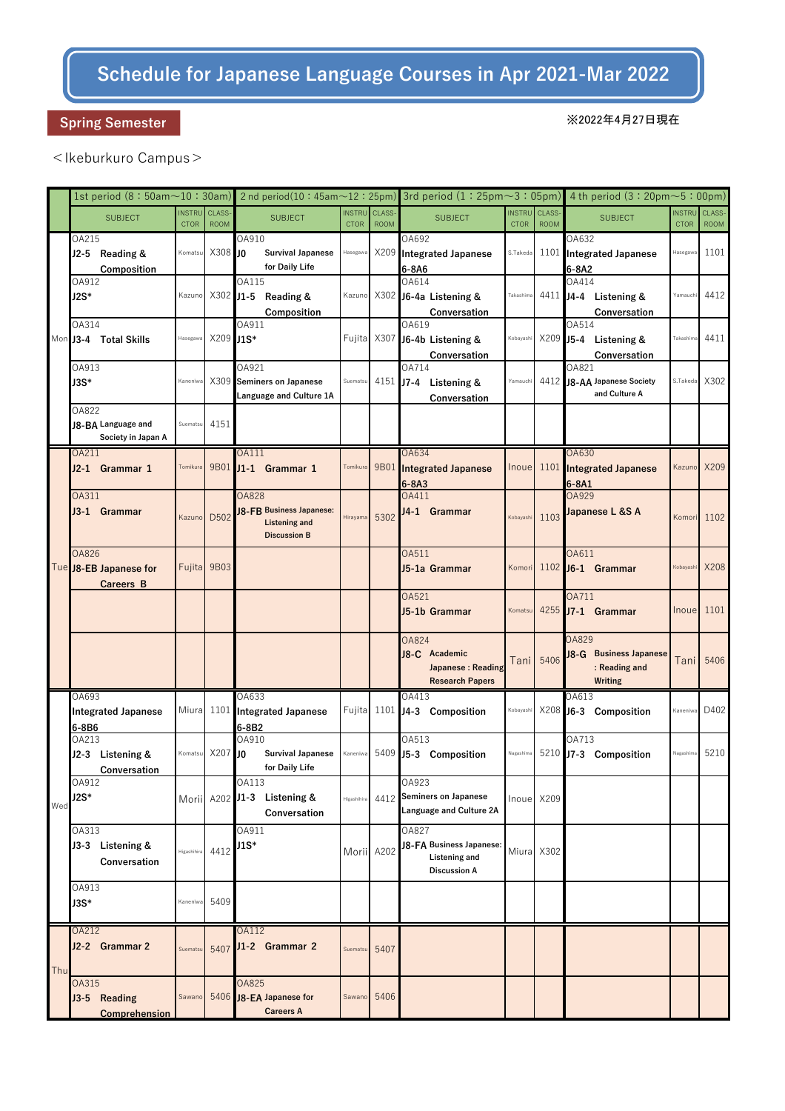## Schedule for Japanese Language Courses in Apr 2021-Mar 2022

### Spring Semester

#### ※2022年4月27日現在

### <Ikeburkuro Campus>

|     |                                                     |                              |                       |                                                                                         |                              |                       |                                                                           |             |                                     | 1st period (8 : 50am $\sim$ 10 : 30am)   2nd period(10 : 45am $\sim$ 12 : 25pm)   3rd period (1 : 25pm $\sim$ 3 : 05pm)   4 th period (3 : 20pm $\sim$ 5 : 00pm) |                              |                       |
|-----|-----------------------------------------------------|------------------------------|-----------------------|-----------------------------------------------------------------------------------------|------------------------------|-----------------------|---------------------------------------------------------------------------|-------------|-------------------------------------|------------------------------------------------------------------------------------------------------------------------------------------------------------------|------------------------------|-----------------------|
|     | <b>SUBJECT</b>                                      | <b>INSTRU</b><br><b>CTOR</b> | CLASS-<br><b>ROOM</b> | <b>SUBJECT</b>                                                                          | <b>INSTRU</b><br><b>CTOR</b> | CLASS-<br><b>ROOM</b> | <b>SUBJECT</b>                                                            | <b>CTOR</b> | <b>INSTRU</b> CLASS-<br><b>ROOM</b> | <b>SUBJECT</b>                                                                                                                                                   | <b>INSTRU</b><br><b>CTOR</b> | CLASS-<br><b>ROOM</b> |
|     | OA215<br>J2-5 Reading &<br>Composition              | Komatsu                      | X308 JO               | OA910<br><b>Survival Japanese</b><br>for Daily Life                                     | Hasegawa                     |                       | OA692<br>X209 Integrated Japanese<br>6-8A6                                | S.Takeda    |                                     | OA632<br>1101 Integrated Japanese<br>6-8A2                                                                                                                       | Hasegawa                     | 1101                  |
|     | OA912<br>$J2S*$                                     | Kazuno                       |                       | OA115<br>X302 J1-5 Reading &<br>Composition                                             |                              |                       | OA614<br>Kazuno X302 J6-4a Listening &<br>Conversation                    | Takashima   |                                     | OA414<br>4411 J4-4 Listening &<br>Conversation                                                                                                                   | Yamauchi                     | 4412                  |
|     | OA314<br>Mon J3-4 Total Skills                      | Hasegawa                     | X209 J1S*             | OA911                                                                                   |                              |                       | OA619<br>Fujita X307 J6-4b Listening &<br>Conversation                    | Kobayashi   |                                     | OA514<br>X209 J5-4 Listening &<br>Conversation                                                                                                                   | Takashima                    | 4411                  |
|     | OA913<br>J3S*                                       | Kaneniwa                     |                       | OA921<br>X309 Seminers on Japanese<br>Language and Culture 1A                           | Suematsu                     |                       | OA714<br>4151 J7-4 Listening &<br>Conversation                            | Yamauch     |                                     | OA821<br>4412 J8-AA Japanese Society<br>and Culture A                                                                                                            | S.Takeda                     | X302                  |
|     | OA822<br>J8-BA Language and<br>Society in Japan A   | Suematsu                     | 4151                  |                                                                                         |                              |                       |                                                                           |             |                                     |                                                                                                                                                                  |                              |                       |
|     | OA211<br>J2-1 Grammar 1                             | Tomikura                     |                       | OA111<br>9B01 J1-1 Grammar 1                                                            | Tomikura                     | 9B01                  | OA634<br><b>Integrated Japanese</b><br>$6 - 8A3$                          | Inoue       | 1101                                | OA630<br><b>Integrated Japanese</b><br>$6-8A1$                                                                                                                   | Kazuno                       | X209                  |
|     | <b>OA311</b><br>J3-1 Grammar                        | Kazuno                       | D502                  | <b>OA828</b><br>J8-FB Business Japanese:<br><b>Listening and</b><br><b>Discussion B</b> | Hirayama                     | 5302                  | OA411<br>J4-1 Grammar                                                     | Kobayashi   | 1103                                | OA929<br>Japanese L &S A                                                                                                                                         | Komori                       | 1102                  |
|     | <b>OA826</b><br>Tue J8-EB Japanese for<br>Careers B |                              | Fujita 9B03           |                                                                                         |                              |                       | OA511<br>J5-1a Grammar                                                    | Komori      |                                     | OA611<br>1102 J6-1 Grammar                                                                                                                                       | Kobayashi                    | X208                  |
|     |                                                     |                              |                       |                                                                                         |                              |                       | OA521<br>J5-1b Grammar                                                    | Komatsu     |                                     | OA711<br>4255 J7-1 Grammar                                                                                                                                       | Inoue                        | 1101                  |
|     |                                                     |                              |                       |                                                                                         |                              |                       | OA824<br>J8-C Academic<br>Japanese: Reading<br><b>Research Papers</b>     | Tani        | 5406                                | OA829<br>J8-G Business Japanese<br>: Reading and<br><b>Writing</b>                                                                                               |                              | Tani 5406             |
|     | OA693<br><b>Integrated Japanese</b><br>6-8B6        |                              |                       | OA633<br>Miura 1101 Integrated Japanese<br>6-8B2                                        |                              |                       | OA413<br>Fujita 1101 J4-3 Composition                                     | Kobayashi   |                                     | OA613<br>X208 J6-3 Composition                                                                                                                                   | Kaneniwa                     | D402                  |
|     | OA213<br>J2-3 Listening &<br>Conversation           | Komatsu                      | $X207$ JO             | OA910<br><b>Survival Japanese</b><br>for Daily Life                                     | Kaneniwa                     |                       | OA513<br>5409 J5-3 Composition                                            | Nagashima   |                                     | OA713<br>5210 J7-3 Composition                                                                                                                                   | Nagashima                    | 5210                  |
| Wed | OA912<br>J2S*                                       |                              |                       | OA113<br>Morii A202 J1-3 Listening &<br>Conversation                                    | Higashihira                  |                       | OA923<br>4412 Seminers on Japanese<br>Language and Culture 2A             |             | Inoue X209                          |                                                                                                                                                                  |                              |                       |
|     | OA313<br>J3-3 Listening &<br>Conversation           | Higashihira                  | 4412                  | OA911<br>J1S*                                                                           | Morii A202                   |                       | OA827<br>J8-FA Business Japanese:<br>Listening and<br><b>Discussion A</b> |             | Miura X302                          |                                                                                                                                                                  |                              |                       |
|     | OA913<br>J3S*                                       | Kaneniwa                     | 5409                  |                                                                                         |                              |                       |                                                                           |             |                                     |                                                                                                                                                                  |                              |                       |
| Thu | <b>OA212</b><br>J2-2 Grammar 2                      | Suematsu                     |                       | <b>OA112</b><br>5407 J1-2 Grammar 2                                                     | Suematsu                     | 5407                  |                                                                           |             |                                     |                                                                                                                                                                  |                              |                       |
|     | OA315<br>J3-5 Reading<br><b>Comprehension</b>       | Sawano                       |                       | OA825<br>5406 J8-EA Japanese for<br><b>Careers A</b>                                    | Sawano                       | 5406                  |                                                                           |             |                                     |                                                                                                                                                                  |                              |                       |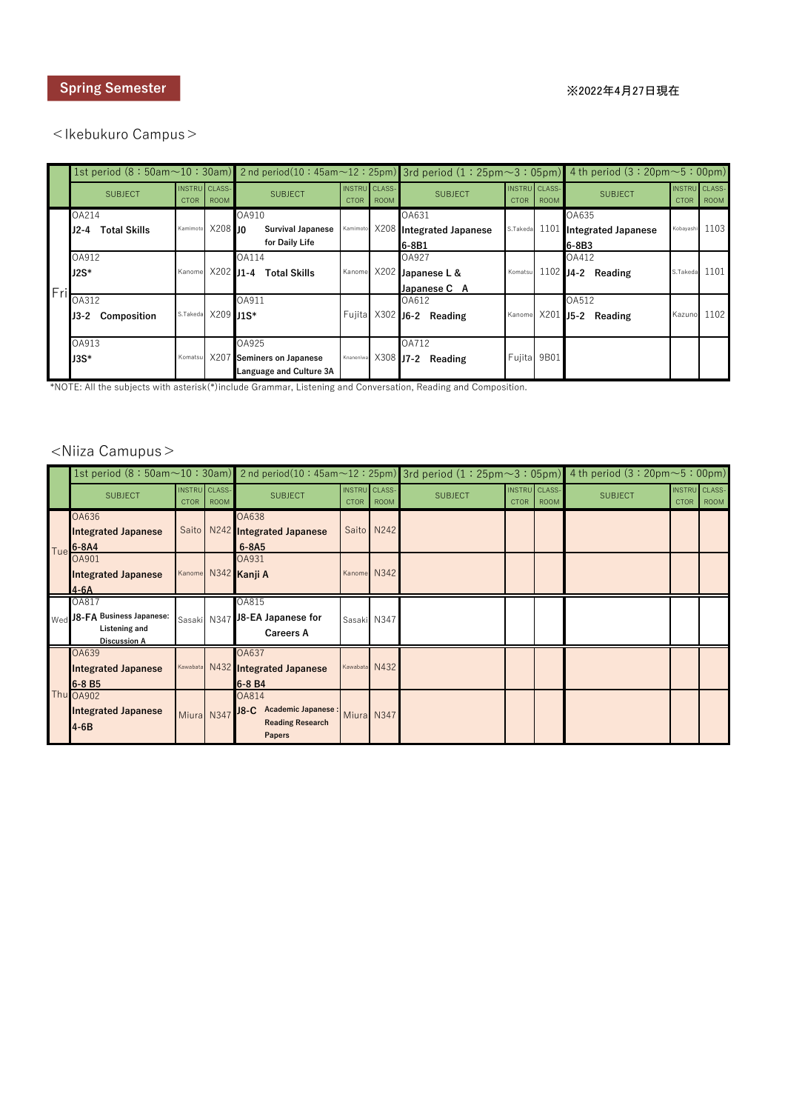#### <Ikebukuro Campus>

|     |                   |                                     |                    |                             |                                     |             |                                   |                                     |             | 1st period $(8:50am\sim10:30am)$ 2nd period(10:45am $\sim$ 12:25pm) 3rd period (1:25pm $\sim$ 3:05pm) 4th period (3:20pm $\sim$ 5:00pm) |                                     |                |
|-----|-------------------|-------------------------------------|--------------------|-----------------------------|-------------------------------------|-------------|-----------------------------------|-------------------------------------|-------------|-----------------------------------------------------------------------------------------------------------------------------------------|-------------------------------------|----------------|
|     | <b>SUBJECT</b>    | <b>INSTRU</b> CLASS-<br><b>CTOR</b> | <b>ROOM</b>        | <b>SUBJECT</b>              | <b>INSTRU</b> CLASS-<br><b>CTOR</b> | <b>ROOM</b> | <b>SUBJECT</b>                    | <b>INSTRU</b> CLASS-<br><b>CTOR</b> | <b>ROOM</b> | <b>SUBJECT</b>                                                                                                                          | <b>INSTRU</b> CLASS-<br><b>CTOR</b> | <b>ROOM</b>    |
|     | OA214             |                                     |                    | OA910                       |                                     |             | OA631                             |                                     |             | OA635                                                                                                                                   |                                     |                |
|     | J2-4 Total Skills | Kamimoto                            | $X208$ In          | <b>Survival Japanese</b>    |                                     |             | Kamimoto X208 Integrated Japanese | S.Takeda 1101                       |             | <b>Integrated Japanese</b>                                                                                                              |                                     | Kobayashi 1103 |
|     |                   |                                     |                    | for Daily Life              |                                     |             | 6-8B1                             |                                     |             | 6-8B3                                                                                                                                   |                                     |                |
|     | OA912             |                                     |                    | OA114                       |                                     |             | OA927                             |                                     |             | OA412                                                                                                                                   |                                     |                |
|     | $J2S^*$           | Kanome                              |                    | X202 J1-4 Total Skills      |                                     |             | Kanome X202 Japanese L &          | Komatsu                             |             | 1102 J4-2 Reading                                                                                                                       | S.Takeda 1101                       |                |
| Fri |                   |                                     |                    |                             |                                     |             | Japanese C A                      |                                     |             |                                                                                                                                         |                                     |                |
|     | OA312             |                                     |                    | OA911                       |                                     |             | OA612                             |                                     |             | OA512                                                                                                                                   |                                     |                |
|     | J3-2 Composition  |                                     | S.Takeda X209 11S* |                             |                                     |             | Fujita X302 J6-2 Reading          |                                     |             | Kanome X201 J5-2 Reading                                                                                                                | Kazuno 1102                         |                |
|     |                   |                                     |                    |                             |                                     |             |                                   |                                     |             |                                                                                                                                         |                                     |                |
|     | OA913             |                                     |                    | OA925                       |                                     |             | OA712                             |                                     |             |                                                                                                                                         |                                     |                |
|     | J3S*              | Komatsu                             | X207               | <b>Seminers on Japanese</b> |                                     |             | Knaneniwa X308 J7-2 Reading       | Fujita 9B01                         |             |                                                                                                                                         |                                     |                |
|     |                   |                                     |                    | Language and Culture 3A     |                                     |             |                                   |                                     |             |                                                                                                                                         |                                     |                |

\*NOTE: All the subjects with asterisk(\*)include Grammar, Listening and Conversation, Reading and Composition.

### <Niiza Camupus>

|     |                                                               | 1st period (8 : 50am $\sim$ 10 : 30am)   2nd period(10 : 45am $\sim$ 12 : 25pm)   3rd period (1 : 25pm $\sim$ 3 : 05pm)   4 th period (3 : 20pm $\sim$ 5 : 00pm)  <br>INSTRU CLASS-<br><b>SUBJECT</b><br><b>CTOR</b><br><b>Listening and</b><br><b>Discussion A</b> |             |                                                                             |                                     |               |                |                              |             |                |                              |             |
|-----|---------------------------------------------------------------|---------------------------------------------------------------------------------------------------------------------------------------------------------------------------------------------------------------------------------------------------------------------|-------------|-----------------------------------------------------------------------------|-------------------------------------|---------------|----------------|------------------------------|-------------|----------------|------------------------------|-------------|
|     |                                                               |                                                                                                                                                                                                                                                                     | <b>ROOM</b> | <b>SUBJECT</b>                                                              | <b>INSTRU</b> CLASS-<br><b>CTOR</b> | <b>ROOM</b>   | <b>SUBJECT</b> | INSTRU CLASS-<br><b>CTOR</b> | <b>ROOM</b> | <b>SUBJECT</b> | INSTRU CLASS-<br><b>CTOR</b> | <b>ROOM</b> |
| Tue | OA636<br><b>Integrated Japanese</b><br>$6 - 8A4$              |                                                                                                                                                                                                                                                                     |             | OA638<br>Saito N242 Integrated Japanese<br>$6 - 8A5$                        |                                     | Saito N242    |                |                              |             |                |                              |             |
|     | OA901<br><b>Integrated Japanese</b><br>$4-6A$                 |                                                                                                                                                                                                                                                                     |             | OA931<br>Kanome N342 Kanji A                                                |                                     | Kanome N342   |                |                              |             |                |                              |             |
|     | OA817<br>$\mathsf{I}_{\mathsf{Wed}}$ J8-FA Business Japanese: |                                                                                                                                                                                                                                                                     |             | OA815<br>Sasaki N347 38-EA Japanese for<br><b>Careers A</b>                 |                                     | Sasaki N347   |                |                              |             |                |                              |             |
|     | OA639<br><b>Integrated Japanese</b><br>6-8 B <sub>5</sub>     |                                                                                                                                                                                                                                                                     |             | <b>OA637</b><br>Kawabata N432 Integrated Japanese<br>6-8 B4                 |                                     | Kawabata N432 |                |                              |             |                |                              |             |
|     | Thu OA902<br><b>Integrated Japanese</b><br>$4-6B$             | Miura N347                                                                                                                                                                                                                                                          |             | OA814<br>Academic Japanese :<br>$J8-C$<br><b>Reading Research</b><br>Papers |                                     | Miura N347    |                |                              |             |                |                              |             |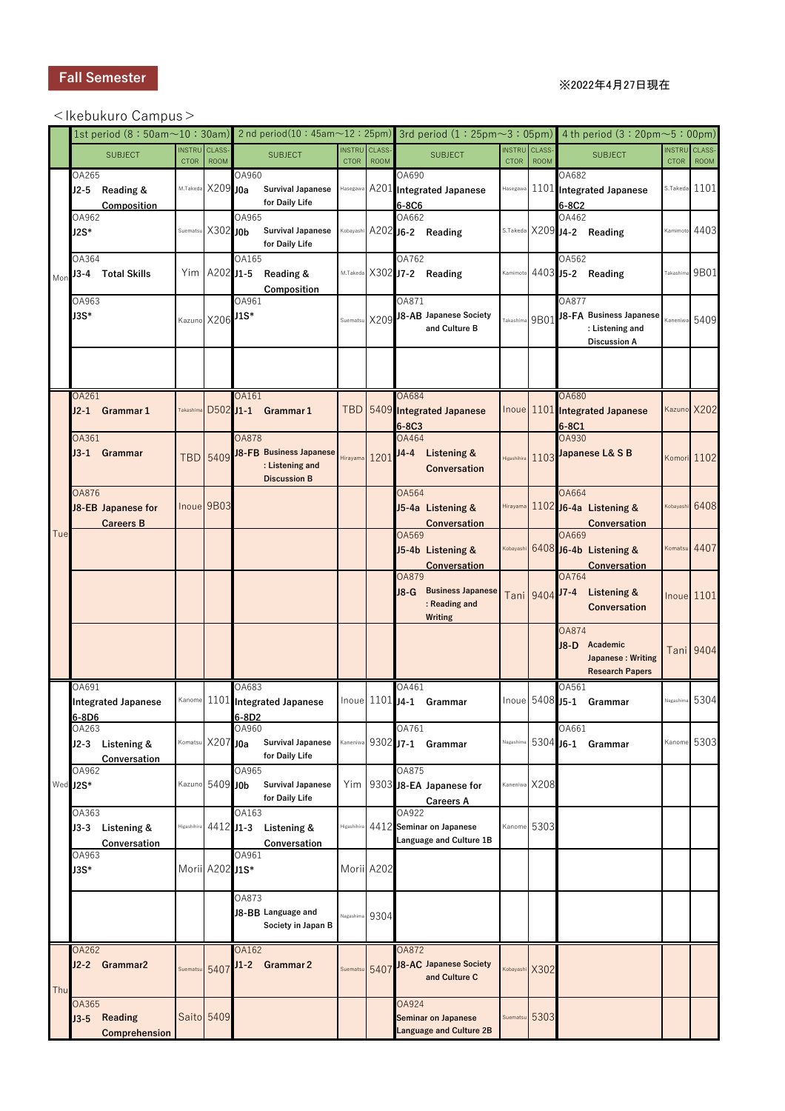#### Fall Semester

#### ※2022年4月27日現在

#### <Ikebukuro Campus>

|     |                        |                                         |                              |                             |                 |                                                                   |                              |                             |                |                                                              |                              |                             |                       | 1st period (8:50am $\sim$ 10:30am) 2nd period(10:45am $\sim$ 12:25pm) 3rd period (1:25pm $\sim$ 3:05pm) 4th period (3:20pm $\sim$ 5:00pm) |                              |                       |
|-----|------------------------|-----------------------------------------|------------------------------|-----------------------------|-----------------|-------------------------------------------------------------------|------------------------------|-----------------------------|----------------|--------------------------------------------------------------|------------------------------|-----------------------------|-----------------------|-------------------------------------------------------------------------------------------------------------------------------------------|------------------------------|-----------------------|
|     |                        | <b>SUBJECT</b>                          | <b>INSTRU</b><br><b>CTOR</b> | <b>CLASS</b><br><b>ROOM</b> |                 | <b>SUBJECT</b>                                                    | <b>INSTRU</b><br><b>CTOR</b> | <b>CLASS</b><br><b>ROOM</b> |                | <b>SUBJECT</b>                                               | <b>INSTRU</b><br><b>CTOR</b> | <b>CLASS</b><br><b>ROOM</b> |                       | <b>SUBJECT</b>                                                                                                                            | <b>INSTRU</b><br><b>CTOR</b> | CLASS-<br><b>ROOM</b> |
|     | OA265                  | J2-5 Reading &<br>Composition           |                              | M.Takeda X209 J0a           | OA960           | <b>Survival Japanese</b><br>for Daily Life                        |                              |                             | OA690<br>6-8C6 | Hasegawa A201 Integrated Japanese                            |                              |                             | OA682<br>6-8C2        | Hasegawa 1101 Integrated Japanese                                                                                                         |                              | S.Takeda $1101$       |
|     | OA962<br>J2S*          |                                         |                              | Suematsu X302 JOb           | OA965           | <b>Survival Japanese</b><br>for Daily Life                        |                              |                             | OA662          | Kobayashi A202 J6-2 Reading                                  |                              |                             | OA462                 | S.Takeda X209 J4-2 Reading                                                                                                                |                              | Kamimoto 4403         |
| Mon | OA364                  | J3-4 Total Skills                       |                              | $Y$ im A202 J1-5            | OA165           | Reading &<br>Composition                                          |                              |                             | OA762          | M.Takeda X302 J7-2 Reading                                   |                              | Kamimoto $4403$ J5-2        | OA562                 | Reading                                                                                                                                   | Takashima                    | 9B01                  |
|     | OA963<br>J3S*          |                                         |                              | Kazuno X206 J1S*            | OA961           |                                                                   |                              |                             | OA871          | Suematsu X209 J8-AB Japanese Society<br>and Culture B        |                              |                             | OA877                 | $Takashima$ 9B01 J8-FA Business Japanese<br>: Listening and<br><b>Discussion A</b>                                                        |                              | Kaneniwa 5409         |
|     |                        |                                         |                              |                             |                 |                                                                   |                              |                             |                |                                                              |                              |                             |                       |                                                                                                                                           |                              |                       |
|     | OA261                  | J2-1 Grammar 1                          | Takashima                    |                             | OA161           | D502 J1-1 Grammar 1                                               |                              |                             | OA684<br>6-8C3 | TBD 5409 Integrated Japanese                                 |                              |                             | <b>OA680</b><br>6-8C1 | Inoue 1101 Integrated Japanese                                                                                                            |                              | Kazuno X202           |
|     | OA361                  | J3-1 Grammar                            |                              | <b>TBD</b> 5409             | <b>OA878</b>    | J8-FB Business Japanese<br>: Listening and<br><b>Discussion B</b> | Hirayama 1201                |                             | OA464<br>J4-4  | <b>Listening &amp;</b><br><b>Conversation</b>                |                              |                             | OA930                 | Higashihira 1103 Japanese L& S B                                                                                                          |                              | Komori 1102           |
|     | <b>OA876</b>           | J8-EB Japanese for<br><b>Careers B</b>  |                              | Inoue 9B03                  |                 |                                                                   |                              |                             | OA564          | J5-4a Listening &<br><b>Conversation</b>                     |                              |                             | OA664                 | Hirayama 1102 J6-4a Listening &<br><b>Conversation</b>                                                                                    | Kobayashi                    | 6408                  |
| Tue |                        |                                         |                              |                             |                 |                                                                   |                              |                             | OA569          | J5-4b Listening &<br><b>Conversation</b>                     |                              |                             | OA669                 | Kobayashi 6408 J6-4b Listening &<br><b>Conversation</b>                                                                                   |                              | Komatsu 4407          |
|     |                        |                                         |                              |                             |                 |                                                                   |                              |                             | OA879<br>J8-G  | <b>Business Japanese</b><br>: Reading and<br>Writing         |                              | Tani 9404 J7-4              | OA764                 | <b>Listening &amp;</b><br><b>Conversation</b>                                                                                             |                              | <b>Inoue</b> 1101     |
|     |                        |                                         |                              |                             |                 |                                                                   |                              |                             |                |                                                              |                              |                             | OA874<br>$J8-D$       | Academic<br>Japanese: Writing<br><b>Research Papers</b>                                                                                   |                              | <b>Tani 9404</b>      |
|     | OA691<br>6-8D6         | <b>Integrated Japanese</b>              |                              |                             | OA683<br>6-8D2  | Kanome 1101 Integrated Japanese                                   |                              |                             | OA461          | Inoue 1101 J4-1 Grammar                                      |                              |                             | OA561                 | Inoue 5408 J5-1 Grammar                                                                                                                   | Nagashima                    | 5304                  |
|     | OA263                  | J2-3 Listening &<br>Conversation        |                              | Komatsu X207 J0a            | OA960           | <b>Survival Japanese</b><br>for Daily Life                        | Kaneniwa                     |                             | OA761          | 9302 J7-1 Grammar                                            | Nagashim                     |                             | OA661                 | 5304 J6-1 Grammar                                                                                                                         | Kanome                       | 5303                  |
|     | OA962<br>Wed J2S*      |                                         |                              | Kazuno 5409 JOb             | OA965           | <b>Survival Japanese</b><br>for Daily Life                        | Yim                          |                             | OA875          | 9303 J8-EA Japanese for<br><b>Careers A</b>                  | Kaneniwa X208                |                             |                       |                                                                                                                                           |                              |                       |
|     | OA363                  | J3-3 Listening &<br><b>Conversation</b> | Higashihira                  | 4412 J <sub>1</sub> -3      | OA163           | Listening &<br><b>Conversation</b>                                | Higashihira                  |                             | OA922          | 4412 Seminar on Japanese<br>Language and Culture 1B          | Kanome 5303                  |                             |                       |                                                                                                                                           |                              |                       |
|     | OA963<br>J3S*          |                                         |                              | Morii A202 J1S*             | OA961           |                                                                   | Morii A202                   |                             |                |                                                              |                              |                             |                       |                                                                                                                                           |                              |                       |
|     |                        |                                         |                              |                             | OA873           | J8-BB Language and<br>Society in Japan B                          | <b>Nagashim</b>              | 9304                        |                |                                                              |                              |                             |                       |                                                                                                                                           |                              |                       |
| Thu | OA262                  | J2-2 Grammar2                           |                              | Suematsu <sub>5407</sub>    | OA162<br>$J1-2$ | <b>Grammar 2</b>                                                  | Suematsu                     | 5407                        | OA872          | J8-AC Japanese Society<br>and Culture C                      | Kobayashi X302               |                             |                       |                                                                                                                                           |                              |                       |
|     | <b>OA365</b><br>$J3-5$ | <b>Reading</b><br>Comprehension         |                              | Saito 5409                  |                 |                                                                   |                              |                             | OA924          | <b>Seminar on Japanese</b><br><b>Language and Culture 2B</b> | Suematsu                     | 5303                        |                       |                                                                                                                                           |                              |                       |